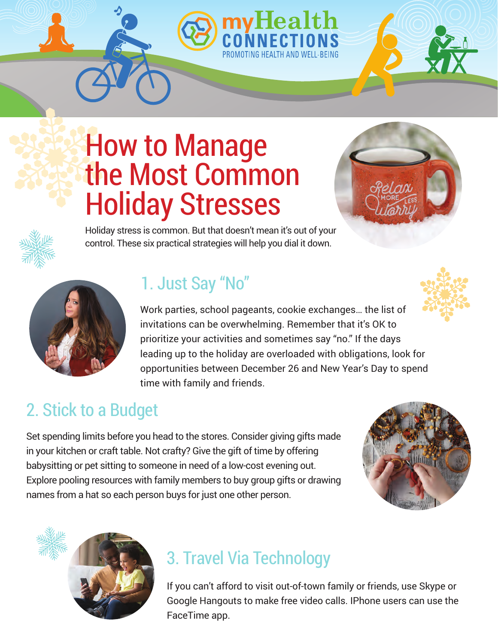# How to Manage the Most Common Holiday Stresses





Holiday stress is common. But that doesn't mean it's out of your control. These six practical strategies will help you dial it down.

# 1. Just Say "No"

Work parties, school pageants, cookie exchanges… the list of invitations can be overwhelming. Remember that it's OK to prioritize your activities and sometimes say "no." If the days leading up to the holiday are overloaded with obligations, look for opportunities between December 26 and New Year's Day to spend time with family and friends.

## 2. Stick to a Budget

Set spending limits before you head to the stores. Consider giving gifts made in your kitchen or craft table. Not crafty? Give the gift of time by offering babysitting or pet sitting to someone in need of a low-cost evening out. Explore pooling resources with family members to buy group gifts or drawing names from a hat so each person buys for just one other person.





#### 3. Travel Via Technology

If you can't afford to visit out-of-town family or friends, use Skype or Google Hangouts to make free video calls. IPhone users can use the FaceTime app.